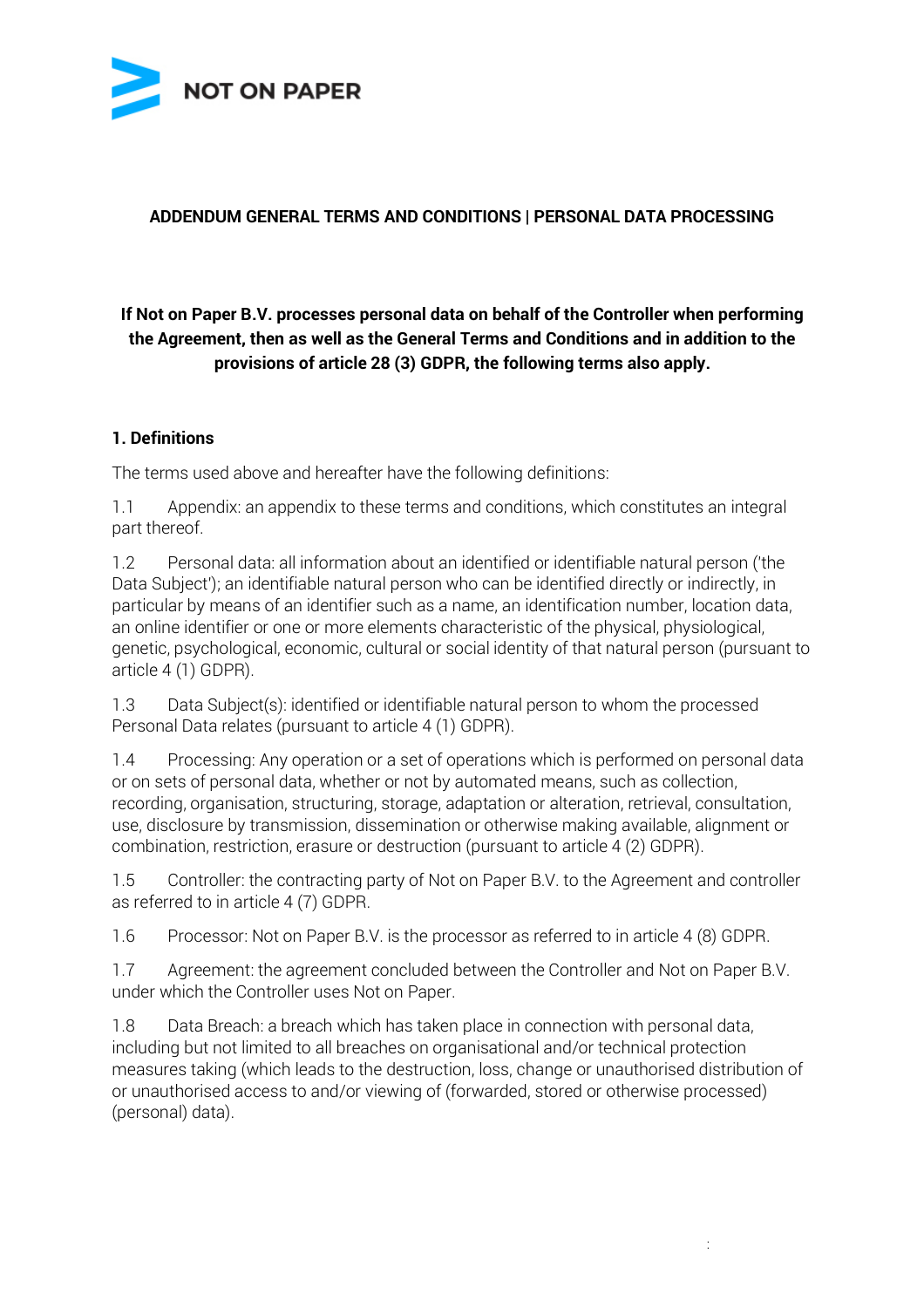

#### **ADDENDUM GENERAL TERMS AND CONDITIONS | PERSONAL DATA PROCESSING**

# **If Not on Paper B.V. processes personal data on behalf of the Controller when performing the Agreement, then as well as the General Terms and Conditions and in addition to the provisions of article 28 (3) GDPR, the following terms also apply.**

#### **1. Definitions**

The terms used above and hereafter have the following definitions:

1.1 Appendix: an appendix to these terms and conditions, which constitutes an integral part thereof.

1.2 Personal data: all information about an identified or identifiable natural person ('the Data Subject'); an identifiable natural person who can be identified directly or indirectly, in particular by means of an identifier such as a name, an identification number, location data, an online identifier or one or more elements characteristic of the physical, physiological, genetic, psychological, economic, cultural or social identity of that natural person (pursuant to article 4 (1) GDPR).

1.3 Data Subject(s): identified or identifiable natural person to whom the processed Personal Data relates (pursuant to article 4 (1) GDPR).

1.4 Processing: Any operation or a set of operations which is performed on personal data or on sets of personal data, whether or not by automated means, such as collection, recording, organisation, structuring, storage, adaptation or alteration, retrieval, consultation, use, disclosure by transmission, dissemination or otherwise making available, alignment or combination, restriction, erasure or destruction (pursuant to article 4 (2) GDPR).

1.5 Controller: the contracting party of Not on Paper B.V. to the Agreement and controller as referred to in article 4 (7) GDPR.

1.6 Processor: Not on Paper B.V. is the processor as referred to in article 4 (8) GDPR.

1.7 Agreement: the agreement concluded between the Controller and Not on Paper B.V. under which the Controller uses Not on Paper.

1.8 Data Breach: a breach which has taken place in connection with personal data, including but not limited to all breaches on organisational and/or technical protection measures taking (which leads to the destruction, loss, change or unauthorised distribution of or unauthorised access to and/or viewing of (forwarded, stored or otherwise processed) (personal) data).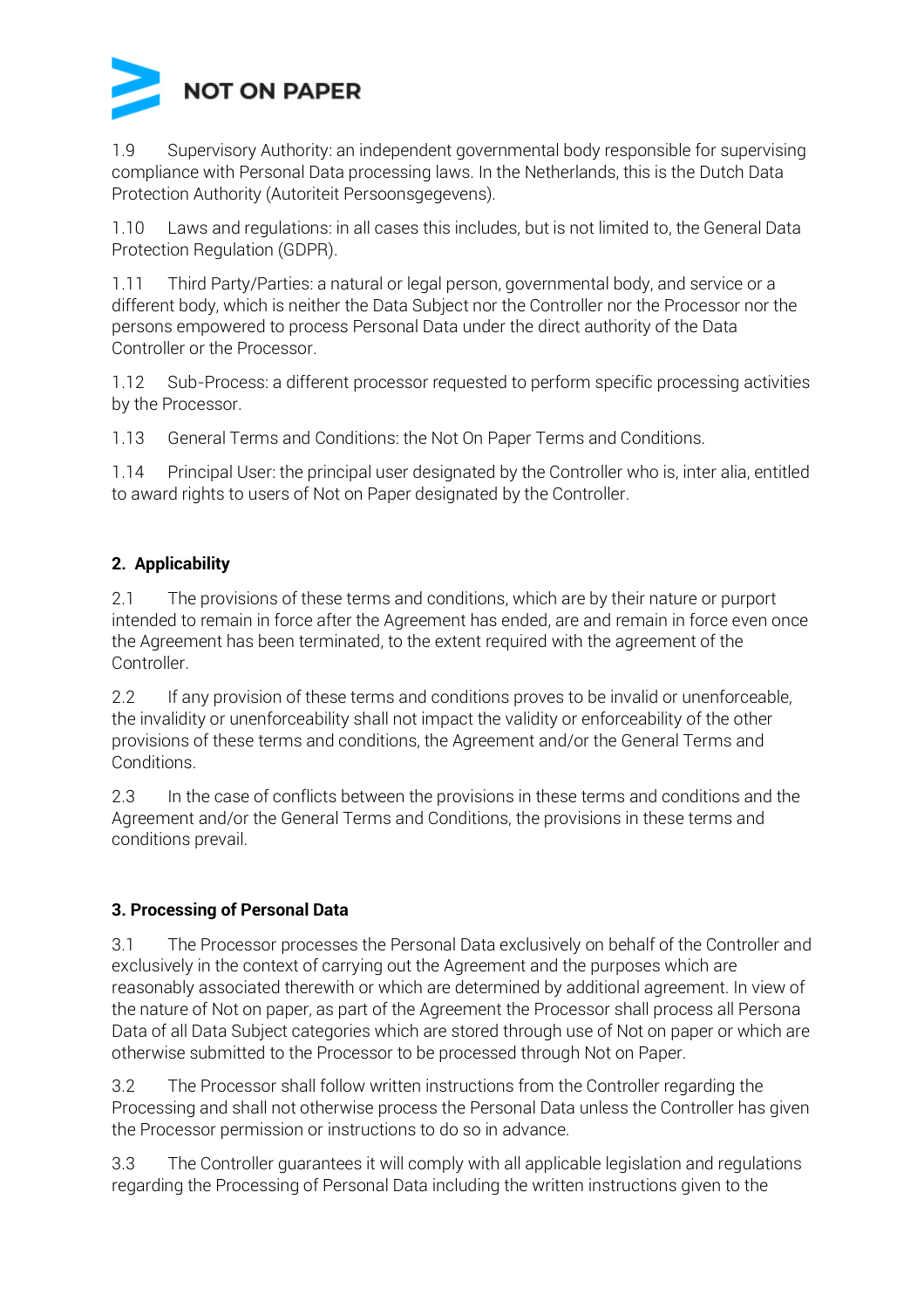

1.9 Supervisory Authority: an independent governmental body responsible for supervising compliance with Personal Data processing laws. In the Netherlands, this is the Dutch Data Protection Authority (Autoriteit Persoonsgegevens).

1.10 Laws and regulations: in all cases this includes, but is not limited to, the General Data Protection Regulation (GDPR).

1.11 Third Party/Parties: a natural or legal person, governmental body, and service or a different body, which is neither the Data Subject nor the Controller nor the Processor nor the persons empowered to process Personal Data under the direct authority of the Data Controller or the Processor.

1.12 Sub-Process: a different processor requested to perform specific processing activities by the Processor.

1.13 General Terms and Conditions: the Not On Paper Terms and Conditions.

1.14 Principal User: the principal user designated by the Controller who is, inter alia, entitled to award rights to users of Not on Paper designated by the Controller.

# **2. Applicability**

2.1 The provisions of these terms and conditions, which are by their nature or purport intended to remain in force after the Agreement has ended, are and remain in force even once the Agreement has been terminated, to the extent required with the agreement of the Controller.

2.2 If any provision of these terms and conditions proves to be invalid or unenforceable, the invalidity or unenforceability shall not impact the validity or enforceability of the other provisions of these terms and conditions, the Agreement and/or the General Terms and Conditions.

2.3 In the case of conflicts between the provisions in these terms and conditions and the Agreement and/or the General Terms and Conditions, the provisions in these terms and conditions prevail.

### **3. Processing of Personal Data**

3.1 The Processor processes the Personal Data exclusively on behalf of the Controller and exclusively in the context of carrying out the Agreement and the purposes which are reasonably associated therewith or which are determined by additional agreement. In view of the nature of Not on paper, as part of the Agreement the Processor shall process all Persona Data of all Data Subject categories which are stored through use of Not on paper or which are otherwise submitted to the Processor to be processed through Not on Paper.

3.2 The Processor shall follow written instructions from the Controller regarding the Processing and shall not otherwise process the Personal Data unless the Controller has given the Processor permission or instructions to do so in advance.

3.3 The Controller guarantees it will comply with all applicable legislation and regulations regarding the Processing of Personal Data including the written instructions given to the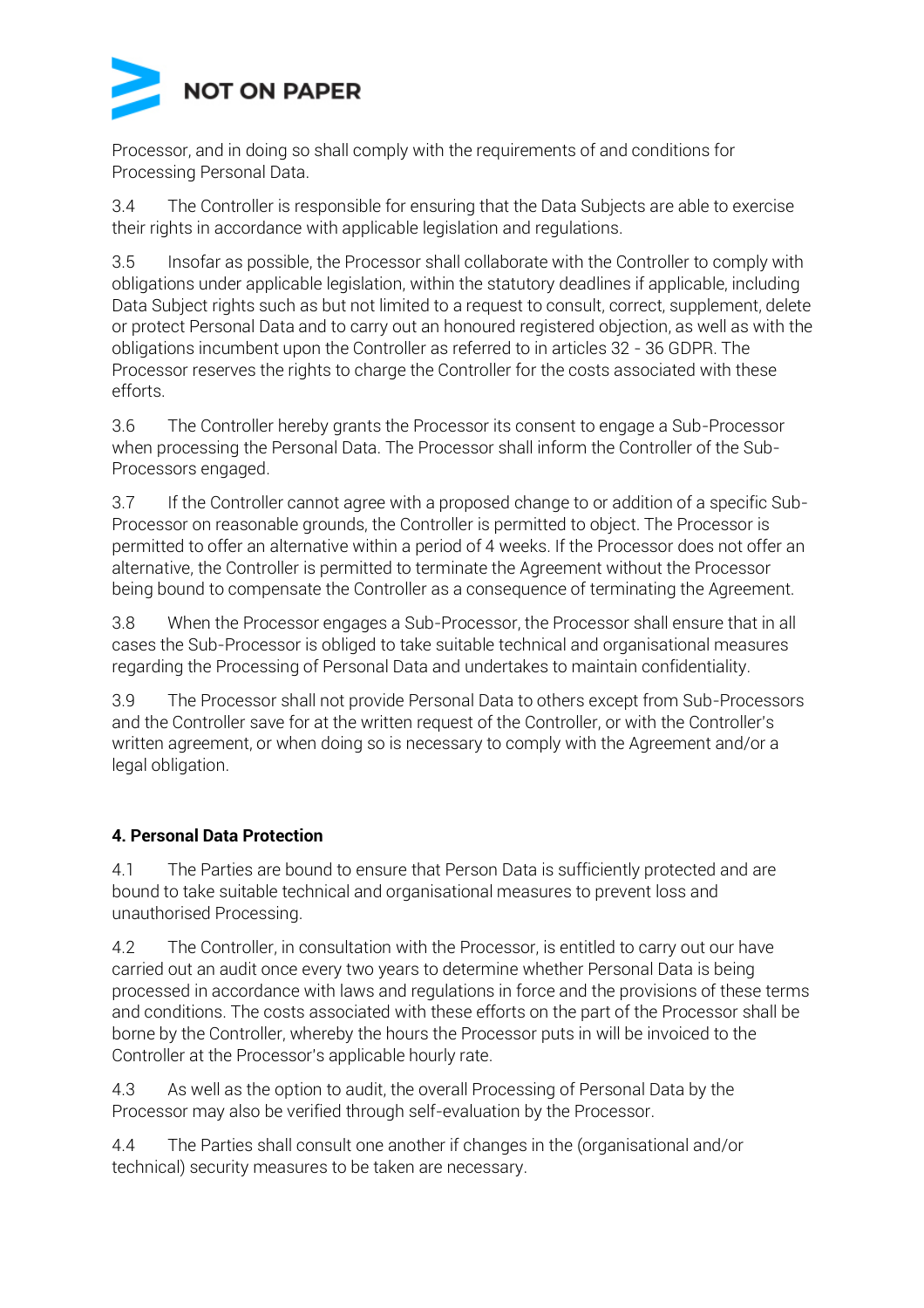

Processor, and in doing so shall comply with the requirements of and conditions for Processing Personal Data.

3.4 The Controller is responsible for ensuring that the Data Subjects are able to exercise their rights in accordance with applicable legislation and regulations.

3.5 Insofar as possible, the Processor shall collaborate with the Controller to comply with obligations under applicable legislation, within the statutory deadlines if applicable, including Data Subject rights such as but not limited to a request to consult, correct, supplement, delete or protect Personal Data and to carry out an honoured registered objection, as well as with the obligations incumbent upon the Controller as referred to in articles 32 - 36 GDPR. The Processor reserves the rights to charge the Controller for the costs associated with these efforts.

3.6 The Controller hereby grants the Processor its consent to engage a Sub-Processor when processing the Personal Data. The Processor shall inform the Controller of the Sub-Processors engaged.

3.7 If the Controller cannot agree with a proposed change to or addition of a specific Sub-Processor on reasonable grounds, the Controller is permitted to object. The Processor is permitted to offer an alternative within a period of 4 weeks. If the Processor does not offer an alternative, the Controller is permitted to terminate the Agreement without the Processor being bound to compensate the Controller as a consequence of terminating the Agreement.

3.8 When the Processor engages a Sub-Processor, the Processor shall ensure that in all cases the Sub-Processor is obliged to take suitable technical and organisational measures regarding the Processing of Personal Data and undertakes to maintain confidentiality.

3.9 The Processor shall not provide Personal Data to others except from Sub-Processors and the Controller save for at the written request of the Controller, or with the Controller's written agreement, or when doing so is necessary to comply with the Agreement and/or a legal obligation.

### **4. Personal Data Protection**

4.1 The Parties are bound to ensure that Person Data is sufficiently protected and are bound to take suitable technical and organisational measures to prevent loss and unauthorised Processing.

4.2 The Controller, in consultation with the Processor, is entitled to carry out our have carried out an audit once every two years to determine whether Personal Data is being processed in accordance with laws and regulations in force and the provisions of these terms and conditions. The costs associated with these efforts on the part of the Processor shall be borne by the Controller, whereby the hours the Processor puts in will be invoiced to the Controller at the Processor's applicable hourly rate.

4.3 As well as the option to audit, the overall Processing of Personal Data by the Processor may also be verified through self-evaluation by the Processor.

4.4 The Parties shall consult one another if changes in the (organisational and/or technical) security measures to be taken are necessary.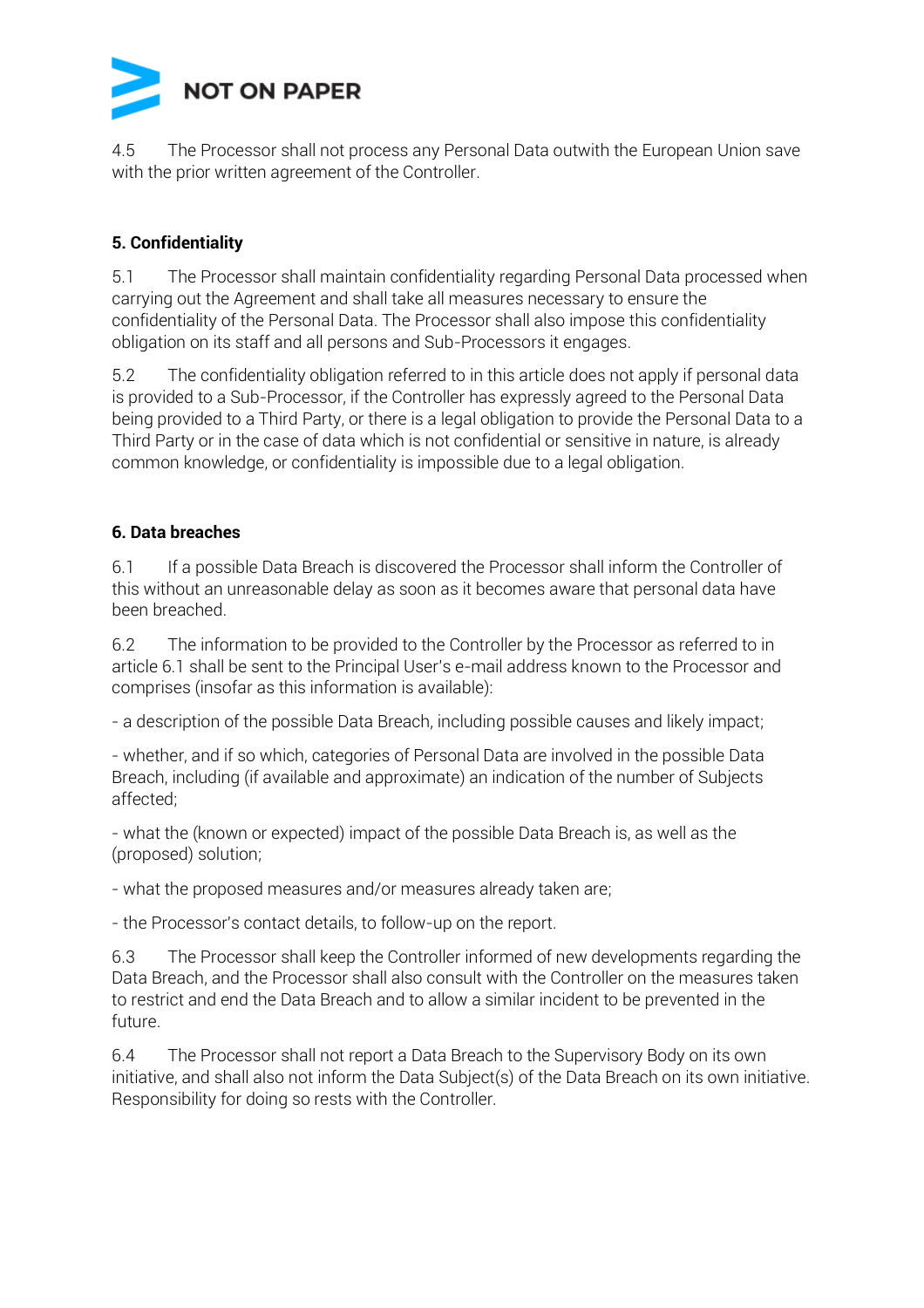

4.5 The Processor shall not process any Personal Data outwith the European Union save with the prior written agreement of the Controller.

#### **5. Confidentiality**

5.1 The Processor shall maintain confidentiality regarding Personal Data processed when carrying out the Agreement and shall take all measures necessary to ensure the confidentiality of the Personal Data. The Processor shall also impose this confidentiality obligation on its staff and all persons and Sub-Processors it engages.

5.2 The confidentiality obligation referred to in this article does not apply if personal data is provided to a Sub-Processor, if the Controller has expressly agreed to the Personal Data being provided to a Third Party, or there is a legal obligation to provide the Personal Data to a Third Party or in the case of data which is not confidential or sensitive in nature, is already common knowledge, or confidentiality is impossible due to a legal obligation.

#### **6. Data breaches**

6.1 If a possible Data Breach is discovered the Processor shall inform the Controller of this without an unreasonable delay as soon as it becomes aware that personal data have been breached.

6.2 The information to be provided to the Controller by the Processor as referred to in article 6.1 shall be sent to the Principal User's e-mail address known to the Processor and comprises (insofar as this information is available):

- a description of the possible Data Breach, including possible causes and likely impact;

- whether, and if so which, categories of Personal Data are involved in the possible Data Breach, including (if available and approximate) an indication of the number of Subjects affected;

- what the (known or expected) impact of the possible Data Breach is, as well as the (proposed) solution;

- what the proposed measures and/or measures already taken are;

- the Processor's contact details, to follow-up on the report.

6.3 The Processor shall keep the Controller informed of new developments regarding the Data Breach, and the Processor shall also consult with the Controller on the measures taken to restrict and end the Data Breach and to allow a similar incident to be prevented in the future.

6.4 The Processor shall not report a Data Breach to the Supervisory Body on its own initiative, and shall also not inform the Data Subject(s) of the Data Breach on its own initiative. Responsibility for doing so rests with the Controller.